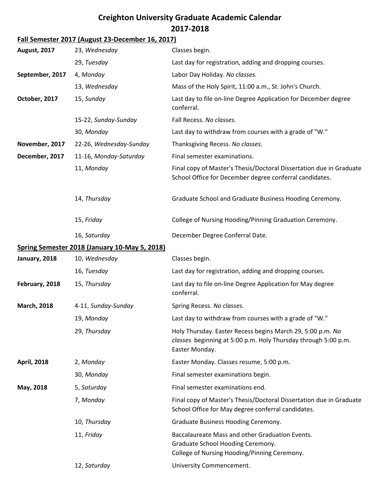## **Creighton University Graduate Academic Calendar 2017-2018**

## **Fall Semester 2017 (August 23-December 16, 2017)**

| <b>August, 2017</b> | 23, Wednesday                                 | Classes begin.                                                                                                                                 |
|---------------------|-----------------------------------------------|------------------------------------------------------------------------------------------------------------------------------------------------|
|                     | 29, Tuesday                                   | Last day for registration, adding and dropping courses.                                                                                        |
| September, 2017     | 4, Monday                                     | Labor Day Holiday. No classes.                                                                                                                 |
|                     | 13, Wednesday                                 | Mass of the Holy Spirit, 11:00 a.m., St. John's Church.                                                                                        |
| October, 2017       | 15, Sunday                                    | Last day to file on-line Degree Application for December degree<br>conferral.                                                                  |
|                     | 15-22, Sunday-Sunday                          | Fall Recess. No classes.                                                                                                                       |
|                     | 30, Monday                                    | Last day to withdraw from courses with a grade of "W."                                                                                         |
| November, 2017      | 22-26, Wednesday-Sunday                       | Thanksgiving Recess. No classes.                                                                                                               |
| December, 2017      | 11-16, Monday-Saturday                        | Final semester examinations.                                                                                                                   |
|                     | 11, Monday                                    | Final copy of Master's Thesis/Doctoral Dissertation due in Graduate<br>School Office for December degree conferral candidates.                 |
|                     | 14, Thursday                                  | Graduate School and Graduate Business Hooding Ceremony.                                                                                        |
|                     | 15, Friday                                    | College of Nursing Hooding/Pinning Graduation Ceremony.                                                                                        |
|                     | 16, Saturday                                  | December Degree Conferral Date.                                                                                                                |
|                     | Spring Semester 2018 (January 10-May 5, 2018) |                                                                                                                                                |
| January, 2018       | 10, Wednesday                                 | Classes begin.                                                                                                                                 |
|                     | 16, Tuesday                                   | Last day for registration, adding and dropping courses.                                                                                        |
| February, 2018      | 15, Thursday                                  | Last day to file on-line Degree Application for May degree<br>conferral.                                                                       |
| <b>March, 2018</b>  | 4-11, Sunday-Sunday                           | Spring Recess. No classes.                                                                                                                     |
|                     | 19, Monday                                    | Last day to withdraw from courses with a grade of "W."                                                                                         |
|                     | 29, Thursday                                  | Holy Thursday. Easter Recess begins March 29, 5:00 p.m. No<br>classes beginning at 5:00 p.m. Holy Thursday through 5:00 p.m.<br>Easter Monday. |
| <b>April, 2018</b>  | 2, Monday                                     | Easter Monday. Classes resume, 5:00 p.m.                                                                                                       |
|                     | 30, Monday                                    | Final semester examinations begin.                                                                                                             |
| May, 2018           | 5, Saturday                                   | Final semester examinations end.                                                                                                               |
|                     | 7, Monday                                     | Final copy of Master's Thesis/Doctoral Dissertation due in Graduate<br>School Office for May degree conferral candidates.                      |
|                     | 10, Thursday                                  | Graduate Business Hooding Ceremony.                                                                                                            |
|                     | 11, Friday                                    | Baccalaureate Mass and other Graduation Events.<br>Graduate School Hooding Ceremony.<br>College of Nursing Hooding/Pinning Ceremony.           |
|                     | 12, Saturday                                  | University Commencement.                                                                                                                       |